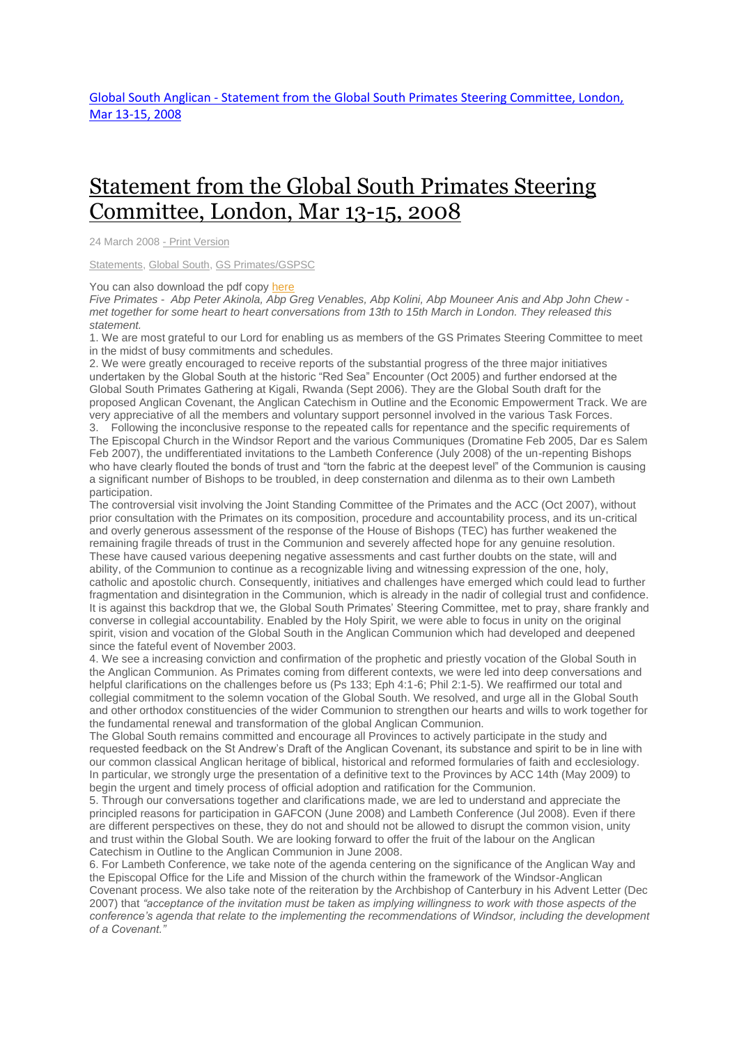## [Statement](http://www.globalsouthanglican.org/index.php/blog/comments/statement_from_the_global_south_primates_steering_committee_london_mar_2008) from the Global South Primates Steering [Committee,](http://www.globalsouthanglican.org/index.php/blog/comments/statement_from_the_global_south_primates_steering_committee_london_mar_2008) London, Mar 13-15, 2008

24 March 2008 - Print [Version](http://globalsouthanglican.org/index.php/blog/printing/statement_from_the_global_south_primates_steering_committee_london_mar_2008)

[Statements,](http://globalsouthanglican.org/index.php/archives/category/statements) [Global](http://globalsouthanglican.org/index.php/archives/category/global_south) South, GS [Primates/GSPSC](http://globalsouthanglican.org/index.php/archives/category/gs_primates_gspsc)

You can also download the pdf copy [here](http://www.globalsouthanglican.org/sse/GS-PSC_March_2008_Statement.pdf)

Five Primates - Abp Peter Akinola, Abp Greg Venables, Abp Kolini, Abp Mouneer Anis and Abp John Chew met together for some heart to heart conversations from 13th to 15th March in London. They released this *statement.*

1. We are most grateful to our Lord for enabling us as members of the GS Primates Steering Committee to meet in the midst of busy commitments and schedules.

2. We were greatly encouraged to receive reports of the substantial progress of the three major initiatives undertaken by the Global South at the historic "Red Sea" Encounter (Oct 2005) and further endorsed at the Global South Primates Gathering at Kigali, Rwanda (Sept 2006). They are the Global South draft for the proposed Anglican Covenant, the Anglican Catechism in Outline and the Economic Empowerment Track. We are very appreciative of all the members and voluntary support personnel involved in the various Task Forces.

3. Following the inconclusive response to the repeated calls for repentance and the specific requirements of The Episcopal Church in the Windsor Report and the various Communiques (Dromatine Feb 2005, Dar es Salem Feb 2007), the undifferentiated invitations to the Lambeth Conference (July 2008) of the un-repenting Bishops who have clearly flouted the bonds of trust and "torn the fabric at the deepest level" of the Communion is causing a significant number of Bishops to be troubled, in deep consternation and dilenma as to their own Lambeth participation.

The controversial visit involving the Joint Standing Committee of the Primates and the ACC (Oct 2007), without prior consultation with the Primates on its composition, procedure and accountability process, and its un-critical and overly generous assessment of the response of the House of Bishops (TEC) has further weakened the remaining fragile threads of trust in the Communion and severely affected hope for any genuine resolution. These have caused various deepening negative assessments and cast further doubts on the state, will and ability, of the Communion to continue as a recognizable living and witnessing expression of the one, holy, catholic and apostolic church. Consequently, initiatives and challenges have emerged which could lead to further fragmentation and disintegration in the Communion, which is already in the nadir of collegial trust and confidence. It is against this backdrop that we, the Global South Primates' Steering Committee, met to pray, share frankly and converse in collegial accountability. Enabled by the Holy Spirit, we were able to focus in unity on the original spirit, vision and vocation of the Global South in the Anglican Communion which had developed and deepened since the fateful event of November 2003.

4. We see a increasing conviction and confirmation of the prophetic and priestly vocation of the Global South in the Anglican Communion. As Primates coming from different contexts, we were led into deep conversations and helpful clarifications on the challenges before us (Ps 133; Eph 4:1-6; Phil 2:1-5). We reaffirmed our total and collegial commitment to the solemn vocation of the Global South. We resolved, and urge all in the Global South and other orthodox constituencies of the wider Communion to strengthen our hearts and wills to work together for the fundamental renewal and transformation of the global Anglican Communion.

The Global South remains committed and encourage all Provinces to actively participate in the study and requested feedback on the St Andrew's Draft of the Anglican Covenant, its substance and spirit to be in line with our common classical Anglican heritage of biblical, historical and reformed formularies of faith and ecclesiology. In particular, we strongly urge the presentation of a definitive text to the Provinces by ACC 14th (May 2009) to begin the urgent and timely process of official adoption and ratification for the Communion.

5. Through our conversations together and clarifications made, we are led to understand and appreciate the principled reasons for participation in GAFCON (June 2008) and Lambeth Conference (Jul 2008). Even if there are different perspectives on these, they do not and should not be allowed to disrupt the common vision, unity and trust within the Global South. We are looking forward to offer the fruit of the labour on the Anglican Catechism in Outline to the Anglican Communion in June 2008.

6. For Lambeth Conference, we take note of the agenda centering on the significance of the Anglican Way and the Episcopal Office for the Life and Mission of the church within the framework of the Windsor-Anglican Covenant process. We also take note of the reiteration by the Archbishop of Canterbury in his Advent Letter (Dec 2007) that "acceptance of the invitation must be taken as implying willingness to work with those aspects of the *conference's agenda that relate to the implementing the recommendations of Windsor, including the development of a Covenant."*